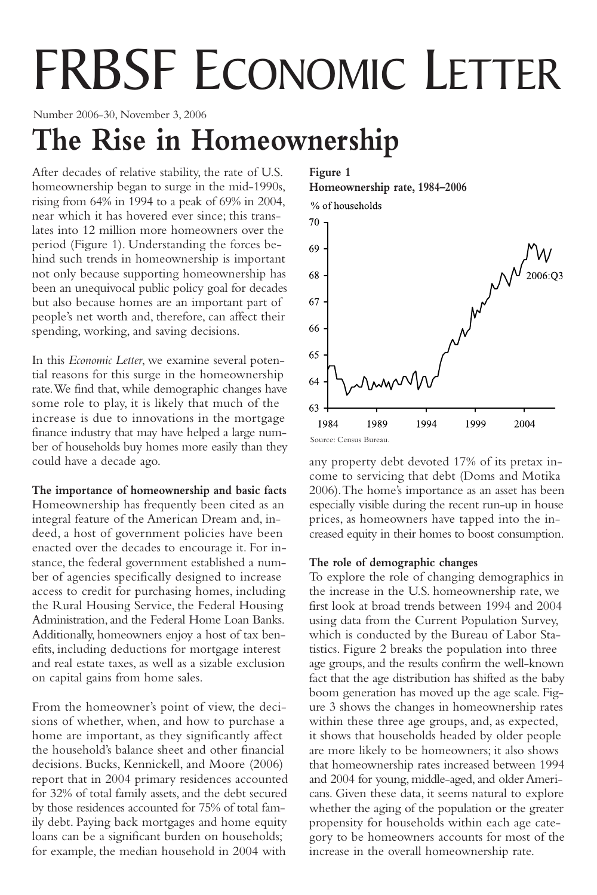# FRBSF ECONOMIC LETTER

Number 2006-30, November 3, 2006

## **The Rise in Homeownership**

After decades of relative stability, the rate of U.S. homeownership began to surge in the mid-1990s, rising from 64% in 1994 to a peak of 69% in 2004, near which it has hovered ever since; this translates into 12 million more homeowners over the period (Figure 1). Understanding the forces behind such trends in homeownership is important not only because supporting homeownership has been an unequivocal public policy goal for decades but also because homes are an important part of people's net worth and, therefore, can affect their spending, working, and saving decisions.

In this *Economic Letter*, we examine several potential reasons for this surge in the homeownership rate.We find that, while demographic changes have some role to play, it is likely that much of the increase is due to innovations in the mortgage finance industry that may have helped a large number of households buy homes more easily than they could have a decade ago.

**The importance of homeownership and basic facts** Homeownership has frequently been cited as an integral feature of the American Dream and, indeed, a host of government policies have been enacted over the decades to encourage it. For instance, the federal government established a number of agencies specifically designed to increase access to credit for purchasing homes, including the Rural Housing Service, the Federal Housing Administration, and the Federal Home Loan Banks. Additionally, homeowners enjoy a host of tax benefits, including deductions for mortgage interest and real estate taxes, as well as a sizable exclusion on capital gains from home sales.

From the homeowner's point of view, the decisions of whether, when, and how to purchase a home are important, as they significantly affect the household's balance sheet and other financial decisions. Bucks, Kennickell, and Moore (2006) report that in 2004 primary residences accounted for 32% of total family assets, and the debt secured by those residences accounted for 75% of total family debt. Paying back mortgages and home equity loans can be a significant burden on households; for example, the median household in 2004 with

### **Figure 1 Homeownership rate, 1984–2006**



any property debt devoted 17% of its pretax income to servicing that debt (Doms and Motika 2006).The home's importance as an asset has been especially visible during the recent run-up in house prices, as homeowners have tapped into the increased equity in their homes to boost consumption.

### **The role of demographic changes**

To explore the role of changing demographics in the increase in the U.S. homeownership rate, we first look at broad trends between 1994 and 2004 using data from the Current Population Survey, which is conducted by the Bureau of Labor Statistics. Figure 2 breaks the population into three age groups, and the results confirm the well-known fact that the age distribution has shifted as the baby boom generation has moved up the age scale. Figure 3 shows the changes in homeownership rates within these three age groups, and, as expected, it shows that households headed by older people are more likely to be homeowners; it also shows that homeownership rates increased between 1994 and 2004 for young, middle-aged, and older Americans. Given these data, it seems natural to explore whether the aging of the population or the greater propensity for households within each age category to be homeowners accounts for most of the increase in the overall homeownership rate.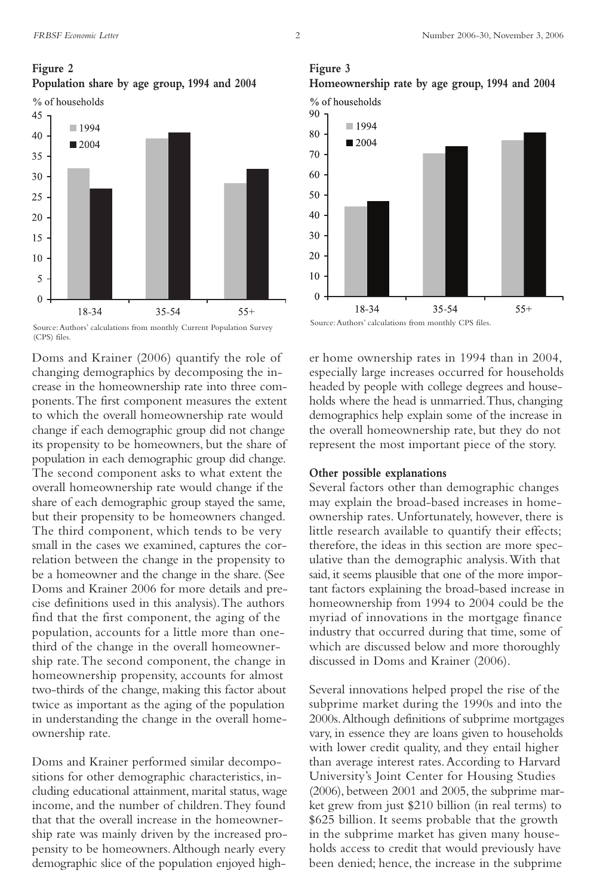**Figure 3**

#### **Figure 2**

**Population share by age group, 1994 and 2004**





Source:Authors' calculations from monthly Current Population Survey (CPS) files.

Doms and Krainer (2006) quantify the role of changing demographics by decomposing the increase in the homeownership rate into three components.The first component measures the extent to which the overall homeownership rate would change if each demographic group did not change its propensity to be homeowners, but the share of population in each demographic group did change. The second component asks to what extent the overall homeownership rate would change if the share of each demographic group stayed the same, but their propensity to be homeowners changed. The third component, which tends to be very small in the cases we examined, captures the correlation between the change in the propensity to be a homeowner and the change in the share. (See Doms and Krainer 2006 for more details and precise definitions used in this analysis).The authors find that the first component, the aging of the population, accounts for a little more than onethird of the change in the overall homeownership rate.The second component, the change in homeownership propensity, accounts for almost two-thirds of the change, making this factor about twice as important as the aging of the population in understanding the change in the overall homeownership rate.

Doms and Krainer performed similar decompositions for other demographic characteristics, including educational attainment, marital status, wage income, and the number of children.They found that that the overall increase in the homeownership rate was mainly driven by the increased propensity to be homeowners.Although nearly every demographic slice of the population enjoyed high-



Source: Authors' calculations from monthly CPS files.

er home ownership rates in 1994 than in 2004, especially large increases occurred for households headed by people with college degrees and households where the head is unmarried.Thus, changing demographics help explain some of the increase in the overall homeownership rate, but they do not represent the most important piece of the story.

#### **Other possible explanations**

Several factors other than demographic changes may explain the broad-based increases in homeownership rates. Unfortunately, however, there is little research available to quantify their effects; therefore, the ideas in this section are more speculative than the demographic analysis.With that said, it seems plausible that one of the more important factors explaining the broad-based increase in homeownership from 1994 to 2004 could be the myriad of innovations in the mortgage finance industry that occurred during that time, some of which are discussed below and more thoroughly discussed in Doms and Krainer (2006).

Several innovations helped propel the rise of the subprime market during the 1990s and into the 2000s.Although definitions of subprime mortgages vary, in essence they are loans given to households with lower credit quality, and they entail higher than average interest rates.According to Harvard University's Joint Center for Housing Studies (2006), between 2001 and 2005, the subprime market grew from just \$210 billion (in real terms) to \$625 billion. It seems probable that the growth in the subprime market has given many households access to credit that would previously have been denied; hence, the increase in the subprime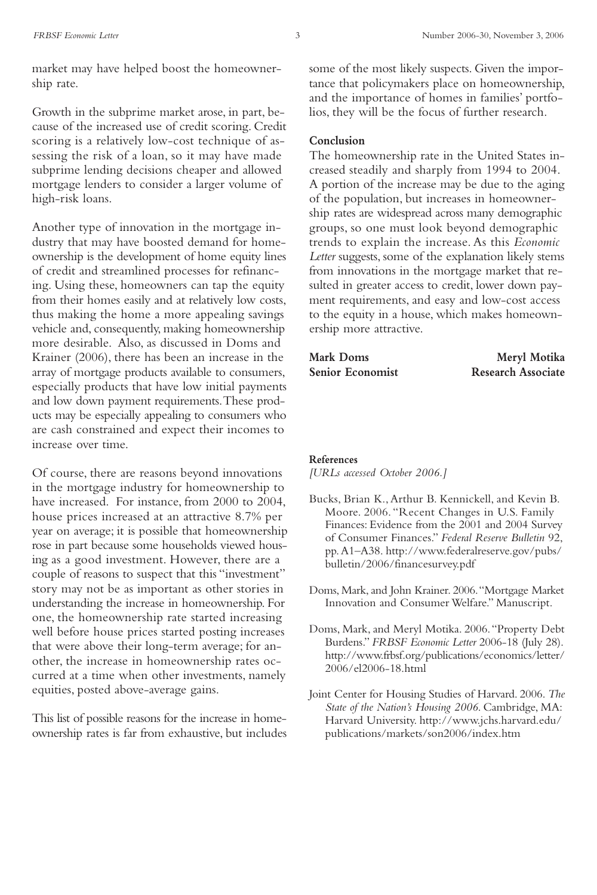market may have helped boost the homeownership rate.

Growth in the subprime market arose, in part, because of the increased use of credit scoring. Credit scoring is a relatively low-cost technique of assessing the risk of a loan, so it may have made subprime lending decisions cheaper and allowed mortgage lenders to consider a larger volume of high-risk loans.

Another type of innovation in the mortgage industry that may have boosted demand for homeownership is the development of home equity lines of credit and streamlined processes for refinancing. Using these, homeowners can tap the equity from their homes easily and at relatively low costs, thus making the home a more appealing savings vehicle and, consequently, making homeownership more desirable. Also, as discussed in Doms and Krainer (2006), there has been an increase in the array of mortgage products available to consumers, especially products that have low initial payments and low down payment requirements.These products may be especially appealing to consumers who are cash constrained and expect their incomes to increase over time.

Of course, there are reasons beyond innovations in the mortgage industry for homeownership to have increased. For instance, from 2000 to 2004, house prices increased at an attractive 8.7% per year on average; it is possible that homeownership rose in part because some households viewed housing as a good investment. However, there are a couple of reasons to suspect that this "investment" story may not be as important as other stories in understanding the increase in homeownership. For one, the homeownership rate started increasing well before house prices started posting increases that were above their long-term average; for another, the increase in homeownership rates occurred at a time when other investments, namely equities, posted above-average gains.

This list of possible reasons for the increase in homeownership rates is far from exhaustive, but includes some of the most likely suspects. Given the importance that policymakers place on homeownership, and the importance of homes in families' portfolios, they will be the focus of further research.

#### **Conclusion**

The homeownership rate in the United States increased steadily and sharply from 1994 to 2004. A portion of the increase may be due to the aging of the population, but increases in homeownership rates are widespread across many demographic groups, so one must look beyond demographic trends to explain the increase. As this *Economic Letter* suggests, some of the explanation likely stems from innovations in the mortgage market that resulted in greater access to credit, lower down payment requirements, and easy and low-cost access to the equity in a house, which makes homeownership more attractive.

| Mark Doms        | Meryl Motika              |
|------------------|---------------------------|
| Senior Economist | <b>Research Associate</b> |

#### **References**

*[URLs accessed October 2006.]*

- Bucks, Brian K., Arthur B. Kennickell, and Kevin B. Moore. 2006. "Recent Changes in U.S. Family Finances: Evidence from the 2001 and 2004 Survey of Consumer Finances." *Federal Reserve Bulletin* 92, pp.A1–A38. http://www.federalreserve.gov/pubs/ bulletin/2006/financesurvey.pdf
- Doms, Mark, and John Krainer. 2006. "Mortgage Market Innovation and Consumer Welfare." Manuscript.
- Doms, Mark, and Meryl Motika. 2006. "Property Debt Burdens." *FRBSF Economic Letter* 2006-18 (July 28). http://www.frbsf.org/publications/economics/letter/ 2006/el2006-18.html
- Joint Center for Housing Studies of Harvard. 2006. *The State of the Nation's Housing 2006*. Cambridge, MA: Harvard University. http://www.jchs.harvard.edu/ publications/markets/son2006/index.htm